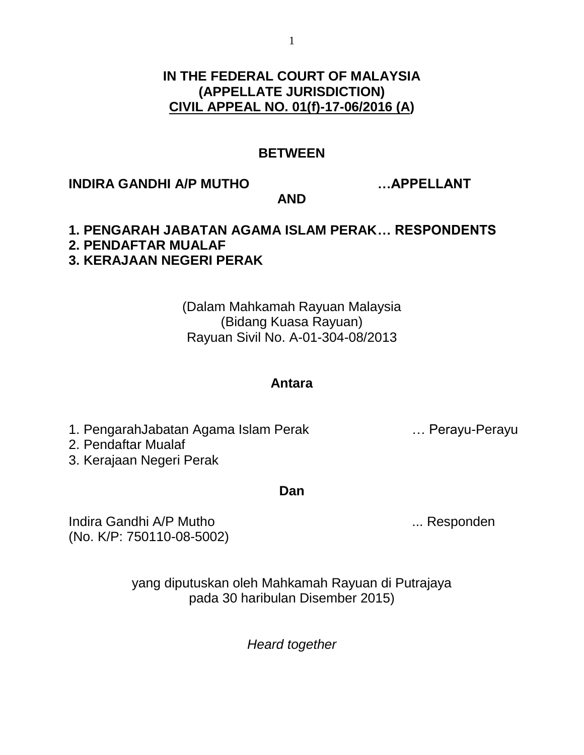# **IN THE FEDERAL COURT OF MALAYSIA (APPELLATE JURISDICTION) CIVIL APPEAL NO. 01(f)-17-06/2016 (A)**

# **BETWEEN**

# **INDIRA GANDHI A/P MUTHO …APPELLANT**

**AND**

### **1. PENGARAH JABATAN AGAMA ISLAM PERAK… RESPONDENTS 2. PENDAFTAR MUALAF 3. KERAJAAN NEGERI PERAK**

(Dalam Mahkamah Rayuan Malaysia (Bidang Kuasa Rayuan) Rayuan Sivil No. A-01-304-08/2013

## **Antara**

1. PengarahJabatan Agama Islam Perak … Perayu-Perayu

2. Pendaftar Mualaf

3. Kerajaan Negeri Perak

**Dan**

Indira Gandhi A/P Mutho ... **Indira Gandhi A/P Mutho** ... Responden (No. K/P: 750110-08-5002)

yang diputuskan oleh Mahkamah Rayuan di Putrajaya pada 30 haribulan Disember 2015)

*Heard together*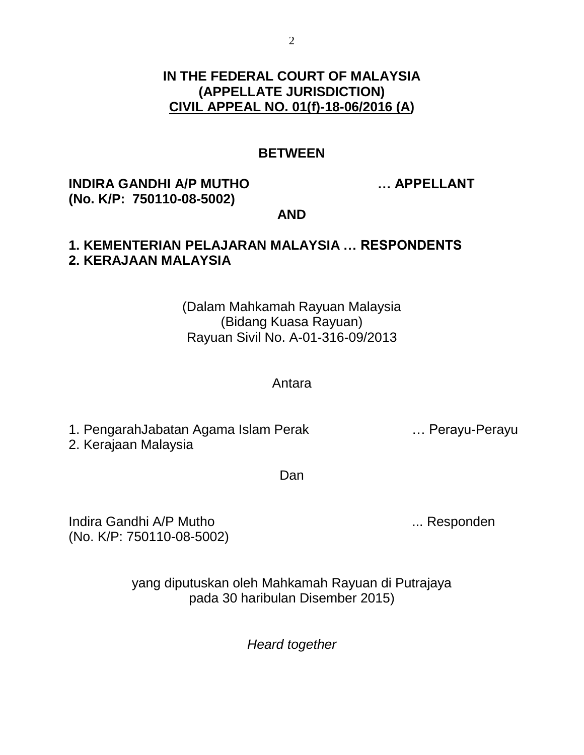# **IN THE FEDERAL COURT OF MALAYSIA (APPELLATE JURISDICTION) CIVIL APPEAL NO. 01(f)-18-06/2016 (A)**

# **BETWEEN**

# **INDIRA GANDHI A/P MUTHO … APPELLANT (No. K/P: 750110-08-5002)**

#### **AND**

#### **1. KEMENTERIAN PELAJARAN MALAYSIA … RESPONDENTS 2. KERAJAAN MALAYSIA**

# (Dalam Mahkamah Rayuan Malaysia (Bidang Kuasa Rayuan) Rayuan Sivil No. A-01-316-09/2013

#### Antara

1. PengarahJabatan Agama Islam Perak … Perayu-Perayu 2. Kerajaan Malaysia

Dan

Indira Gandhi A/P Mutho ... **Indira Gandhi A/P Mutho** ... Responden (No. K/P: 750110-08-5002)

yang diputuskan oleh Mahkamah Rayuan di Putrajaya pada 30 haribulan Disember 2015)

*Heard together*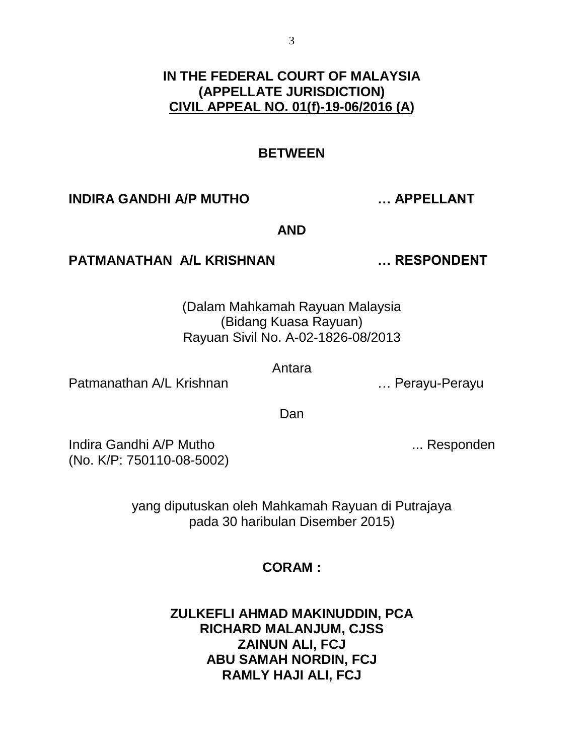# **IN THE FEDERAL COURT OF MALAYSIA (APPELLATE JURISDICTION) CIVIL APPEAL NO. 01(f)-19-06/2016 (A)**

# **BETWEEN**

## **INDIRA GANDHI A/P MUTHO … APPELLANT**

**AND**

### **PATMANATHAN A/L KRISHNAN … RESPONDENT**

(Dalam Mahkamah Rayuan Malaysia (Bidang Kuasa Rayuan) Rayuan Sivil No. A-02-1826-08/2013

Antara

Patmanathan A/L Krishnan **Example 2018** Material Muslim Perayu-Perayu

Dan

Indira Gandhi A/P Mutho ... **Indira Gandhi A/P Mutho** ... Responden (No. K/P: 750110-08-5002)

yang diputuskan oleh Mahkamah Rayuan di Putrajaya pada 30 haribulan Disember 2015)

# **CORAM :**

**ZULKEFLI AHMAD MAKINUDDIN, PCA RICHARD MALANJUM, CJSS ZAINUN ALI, FCJ ABU SAMAH NORDIN, FCJ RAMLY HAJI ALI, FCJ**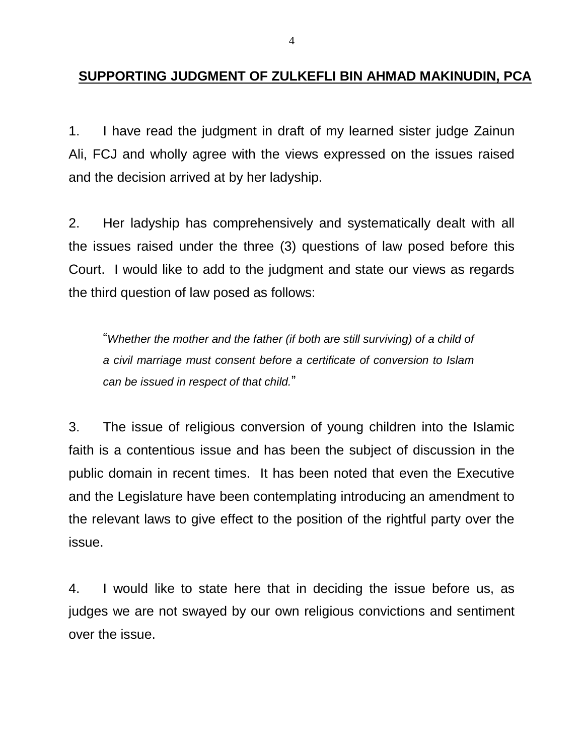## **SUPPORTING JUDGMENT OF ZULKEFLI BIN AHMAD MAKINUDIN, PCA**

1. I have read the judgment in draft of my learned sister judge Zainun Ali, FCJ and wholly agree with the views expressed on the issues raised and the decision arrived at by her ladyship.

2. Her ladyship has comprehensively and systematically dealt with all the issues raised under the three (3) questions of law posed before this Court. I would like to add to the judgment and state our views as regards the third question of law posed as follows:

"*Whether the mother and the father (if both are still surviving) of a child of a civil marriage must consent before a certificate of conversion to Islam can be issued in respect of that child.*"

3. The issue of religious conversion of young children into the Islamic faith is a contentious issue and has been the subject of discussion in the public domain in recent times. It has been noted that even the Executive and the Legislature have been contemplating introducing an amendment to the relevant laws to give effect to the position of the rightful party over the issue.

4. I would like to state here that in deciding the issue before us, as judges we are not swayed by our own religious convictions and sentiment over the issue.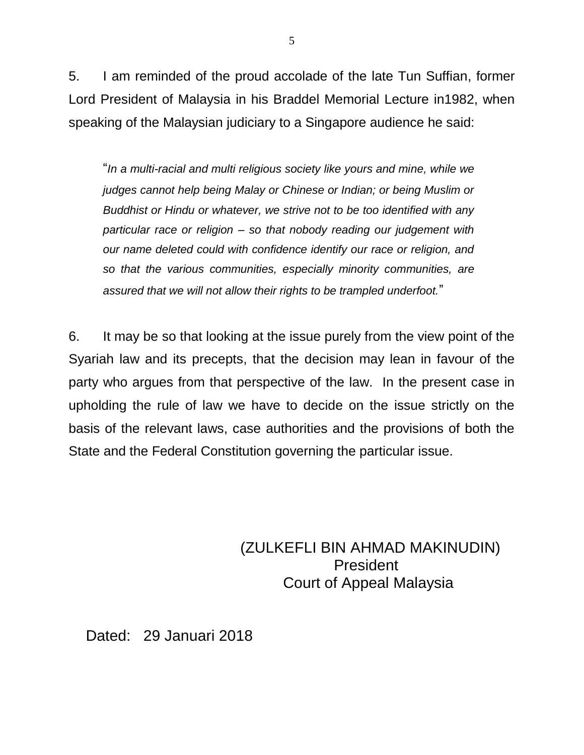5. I am reminded of the proud accolade of the late Tun Suffian, former Lord President of Malaysia in his Braddel Memorial Lecture in1982, when speaking of the Malaysian judiciary to a Singapore audience he said:

"*In a multi-racial and multi religious society like yours and mine, while we judges cannot help being Malay or Chinese or Indian; or being Muslim or Buddhist or Hindu or whatever, we strive not to be too identified with any particular race or religion – so that nobody reading our judgement with our name deleted could with confidence identify our race or religion, and so that the various communities, especially minority communities, are assured that we will not allow their rights to be trampled underfoot.*"

6. It may be so that looking at the issue purely from the view point of the Syariah law and its precepts, that the decision may lean in favour of the party who argues from that perspective of the law. In the present case in upholding the rule of law we have to decide on the issue strictly on the basis of the relevant laws, case authorities and the provisions of both the State and the Federal Constitution governing the particular issue.

> (ZULKEFLI BIN AHMAD MAKINUDIN) President Court of Appeal Malaysia

Dated: 29 Januari 2018